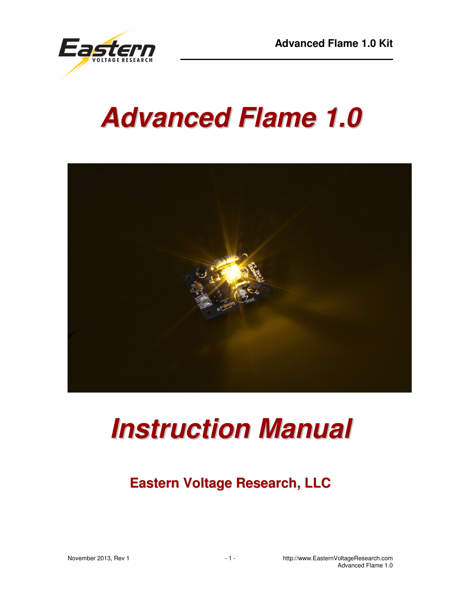

# **Advanced Flame 1.0**



# **Instruction Manual**

# **Eastern Voltage Research, LLC**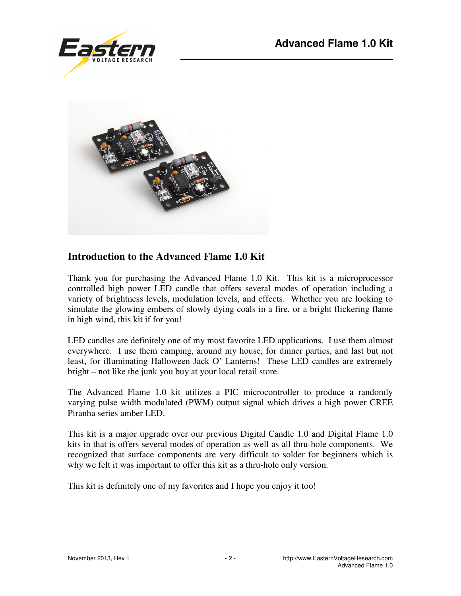



#### **Introduction to the Advanced Flame 1.0 Kit**

Thank you for purchasing the Advanced Flame 1.0 Kit. This kit is a microprocessor controlled high power LED candle that offers several modes of operation including a variety of brightness levels, modulation levels, and effects. Whether you are looking to simulate the glowing embers of slowly dying coals in a fire, or a bright flickering flame in high wind, this kit if for you!

LED candles are definitely one of my most favorite LED applications. I use them almost everywhere. I use them camping, around my house, for dinner parties, and last but not least, for illuminating Halloween Jack O' Lanterns! These LED candles are extremely bright – not like the junk you buy at your local retail store.

The Advanced Flame 1.0 kit utilizes a PIC microcontroller to produce a randomly varying pulse width modulated (PWM) output signal which drives a high power CREE Piranha series amber LED.

This kit is a major upgrade over our previous Digital Candle 1.0 and Digital Flame 1.0 kits in that is offers several modes of operation as well as all thru-hole components. We recognized that surface components are very difficult to solder for beginners which is why we felt it was important to offer this kit as a thru-hole only version.

This kit is definitely one of my favorites and I hope you enjoy it too!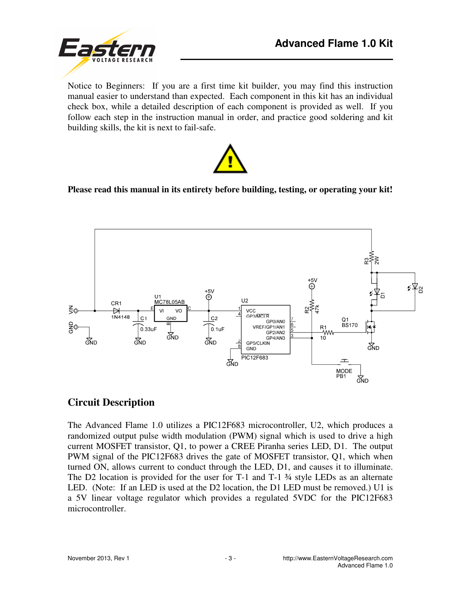

Notice to Beginners: If you are a first time kit builder, you may find this instruction manual easier to understand than expected. Each component in this kit has an individual check box, while a detailed description of each component is provided as well. If you follow each step in the instruction manual in order, and practice good soldering and kit building skills, the kit is next to fail-safe.



#### **Please read this manual in its entirety before building, testing, or operating your kit!**



#### **Circuit Description**

The Advanced Flame 1.0 utilizes a PIC12F683 microcontroller, U2, which produces a randomized output pulse width modulation (PWM) signal which is used to drive a high current MOSFET transistor, Q1, to power a CREE Piranha series LED, D1. The output PWM signal of the PIC12F683 drives the gate of MOSFET transistor, Q1, which when turned ON, allows current to conduct through the LED, D1, and causes it to illuminate. The D2 location is provided for the user for  $T-1$  and  $T-1$   $\frac{3}{4}$  style LEDs as an alternate LED. (Note: If an LED is used at the D2 location, the D1 LED must be removed.) U1 is a 5V linear voltage regulator which provides a regulated 5VDC for the PIC12F683 microcontroller.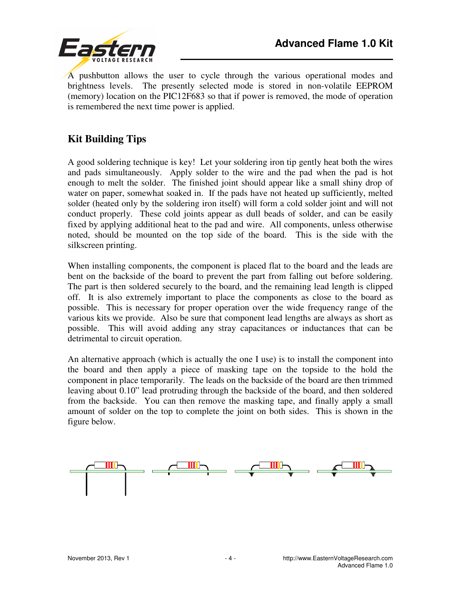

A pushbutton allows the user to cycle through the various operational modes and brightness levels. The presently selected mode is stored in non-volatile EEPROM (memory) location on the PIC12F683 so that if power is removed, the mode of operation is remembered the next time power is applied.

# **Kit Building Tips**

A good soldering technique is key! Let your soldering iron tip gently heat both the wires and pads simultaneously. Apply solder to the wire and the pad when the pad is hot enough to melt the solder. The finished joint should appear like a small shiny drop of water on paper, somewhat soaked in. If the pads have not heated up sufficiently, melted solder (heated only by the soldering iron itself) will form a cold solder joint and will not conduct properly. These cold joints appear as dull beads of solder, and can be easily fixed by applying additional heat to the pad and wire. All components, unless otherwise noted, should be mounted on the top side of the board. This is the side with the silkscreen printing.

When installing components, the component is placed flat to the board and the leads are bent on the backside of the board to prevent the part from falling out before soldering. The part is then soldered securely to the board, and the remaining lead length is clipped off. It is also extremely important to place the components as close to the board as possible. This is necessary for proper operation over the wide frequency range of the various kits we provide. Also be sure that component lead lengths are always as short as possible. This will avoid adding any stray capacitances or inductances that can be detrimental to circuit operation.

An alternative approach (which is actually the one I use) is to install the component into the board and then apply a piece of masking tape on the topside to the hold the component in place temporarily. The leads on the backside of the board are then trimmed leaving about 0.10" lead protruding through the backside of the board, and then soldered from the backside. You can then remove the masking tape, and finally apply a small amount of solder on the top to complete the joint on both sides. This is shown in the figure below.

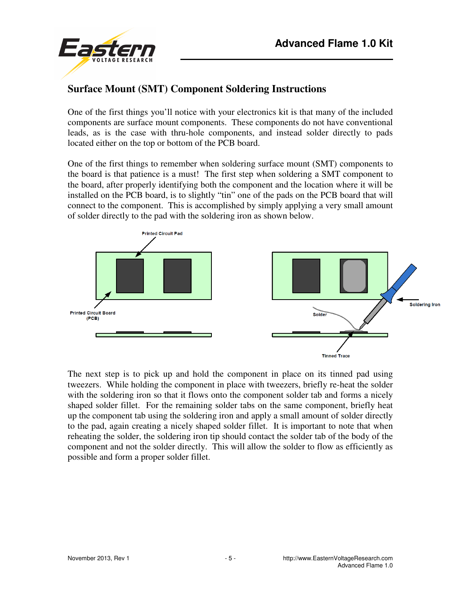



# **Surface Mount (SMT) Component Soldering Instructions**

One of the first things you'll notice with your electronics kit is that many of the included components are surface mount components. These components do not have conventional leads, as is the case with thru-hole components, and instead solder directly to pads located either on the top or bottom of the PCB board.

One of the first things to remember when soldering surface mount (SMT) components to the board is that patience is a must! The first step when soldering a SMT component to the board, after properly identifying both the component and the location where it will be installed on the PCB board, is to slightly "tin" one of the pads on the PCB board that will connect to the component. This is accomplished by simply applying a very small amount of solder directly to the pad with the soldering iron as shown below.



The next step is to pick up and hold the component in place on its tinned pad using tweezers. While holding the component in place with tweezers, briefly re-heat the solder with the soldering iron so that it flows onto the component solder tab and forms a nicely shaped solder fillet. For the remaining solder tabs on the same component, briefly heat up the component tab using the soldering iron and apply a small amount of solder directly to the pad, again creating a nicely shaped solder fillet. It is important to note that when reheating the solder, the soldering iron tip should contact the solder tab of the body of the component and not the solder directly. This will allow the solder to flow as efficiently as possible and form a proper solder fillet.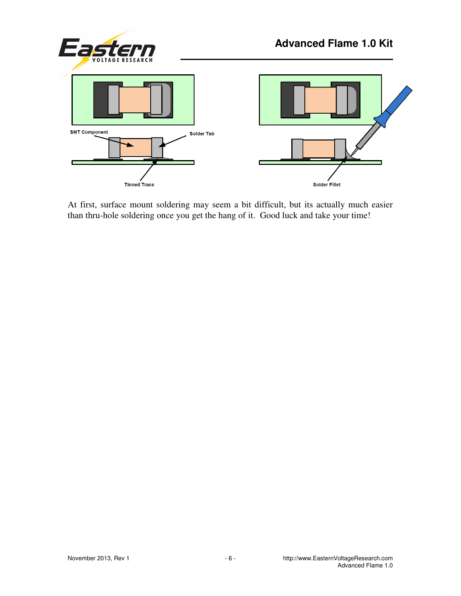

At first, surface mount soldering may seem a bit difficult, but its actually much easier than thru-hole soldering once you get the hang of it. Good luck and take your time!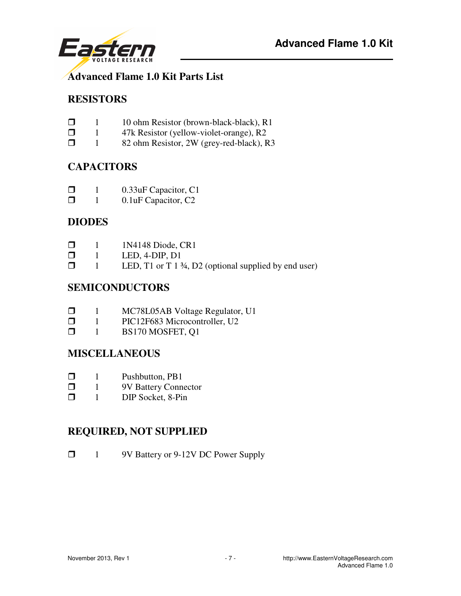

#### **Advanced Flame 1.0 Kit Parts List**

# **RESISTORS**

- $\Box$  10 ohm Resistor (brown-black-black), R1
- $\Box$  1 47k Resistor (yellow-violet-orange), R2<br> $\Box$  1 82 ohm Resistor. 2W (grev-red-black), R
- 1 82 ohm Resistor, 2W (grey-red-black), R3

# **CAPACITORS**

- $\Box$  1 0.33uF Capacitor, C1<br> $\Box$  1 0.1uF Capacitor. C2
- 1 0.1uF Capacitor, C2

### **DIODES**

| $\Box$ |  | 1N4148 Diode, CR1 |
|--------|--|-------------------|
|--------|--|-------------------|

- $\Box$  1 LED, 4-DIP, D1<br> $\Box$  1 LED, T1 or T13
- 1 LED, T1 or T 1 ¾, D2 (optional supplied by end user)

### **SEMICONDUCTORS**

- $\Box$  1 MC78L05AB Voltage Regulator, U1
- $\Box$  1 PIC12F683 Microcontroller, U2<br> $\Box$  1 BS170 MOSFET, O1
- 1 BS170 MOSFET, Q1

#### **MISCELLANEOUS**

- $\Box$  1 Pushbutton, PB1
- **1** 9V Battery Connector
- $\Box$  1 DIP Socket, 8-Pin

# **REQUIRED, NOT SUPPLIED**

□ 1 9V Battery or 9-12V DC Power Supply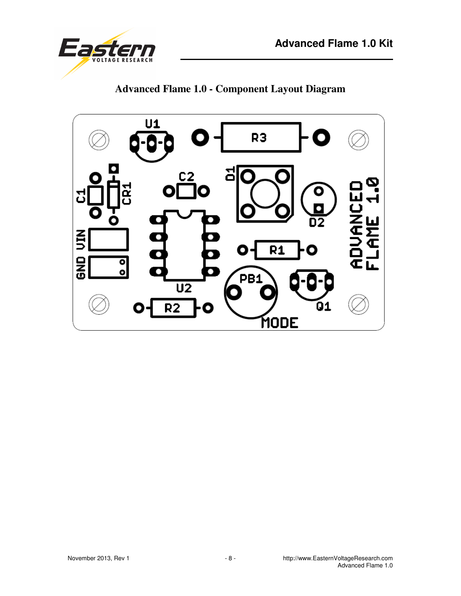



**Advanced Flame 1.0 - Component Layout Diagram** 

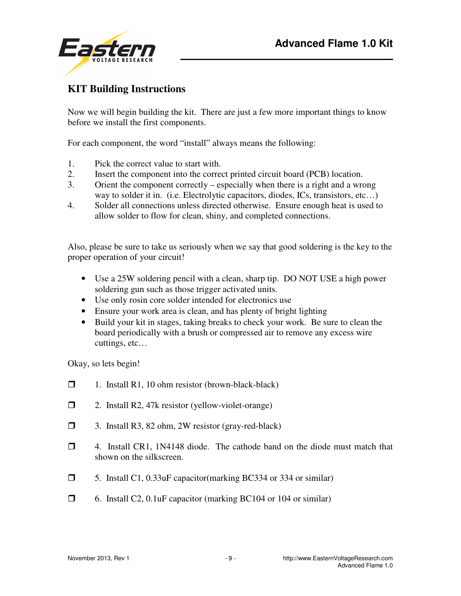

# **KIT Building Instructions**

Now we will begin building the kit. There are just a few more important things to know before we install the first components.

For each component, the word "install" always means the following:

- 1. Pick the correct value to start with.
- 2. Insert the component into the correct printed circuit board (PCB) location.
- 3. Orient the component correctly especially when there is a right and a wrong way to solder it in. (i.e. Electrolytic capacitors, diodes, ICs, transistors, etc...)
- 4. Solder all connections unless directed otherwise. Ensure enough heat is used to allow solder to flow for clean, shiny, and completed connections.

Also, please be sure to take us seriously when we say that good soldering is the key to the proper operation of your circuit!

- Use a 25W soldering pencil with a clean, sharp tip. DO NOT USE a high power soldering gun such as those trigger activated units.
- Use only rosin core solder intended for electronics use
- Ensure your work area is clean, and has plenty of bright lighting
- Build your kit in stages, taking breaks to check your work. Be sure to clean the board periodically with a brush or compressed air to remove any excess wire cuttings, etc…

Okay, so lets begin!

- $\Box$  1. Install R1, 10 ohm resistor (brown-black-black)
- $\Box$  2. Install R2, 47k resistor (yellow-violet-orange)
- 3. Install R3, 82 ohm, 2W resistor (gray-red-black)
- 4. Install CR1, 1N4148 diode. The cathode band on the diode must match that shown on the silkscreen.
- 5. Install C1, 0.33uF capacitor(marking BC334 or 334 or similar)
- $\Box$  6. Install C2, 0.1uF capacitor (marking BC104 or 104 or similar)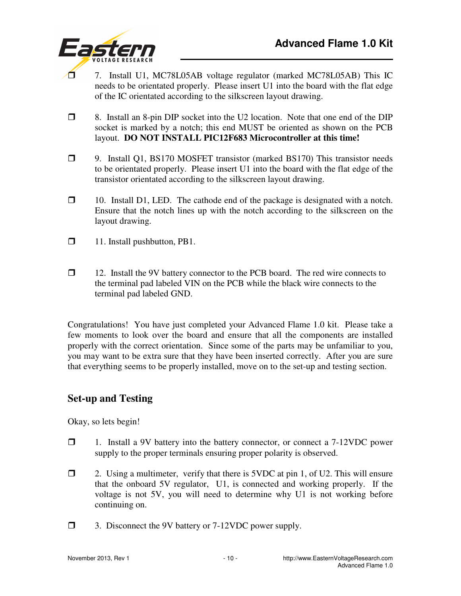

- 7. Install U1, MC78L05AB voltage regulator (marked MC78L05AB) This IC needs to be orientated properly. Please insert U1 into the board with the flat edge of the IC orientated according to the silkscreen layout drawing.
- 8. Install an 8-pin DIP socket into the U2 location. Note that one end of the DIP socket is marked by a notch; this end MUST be oriented as shown on the PCB layout. **DO NOT INSTALL PIC12F683 Microcontroller at this time!**
- 9. Install Q1, BS170 MOSFET transistor (marked BS170) This transistor needs to be orientated properly. Please insert U1 into the board with the flat edge of the transistor orientated according to the silkscreen layout drawing.
- $\Box$  10. Install D1, LED. The cathode end of the package is designated with a notch. Ensure that the notch lines up with the notch according to the silkscreen on the layout drawing.
- □ 11. Install pushbutton, PB1.
- 12. Install the 9V battery connector to the PCB board. The red wire connects to the terminal pad labeled VIN on the PCB while the black wire connects to the terminal pad labeled GND.

Congratulations! You have just completed your Advanced Flame 1.0 kit. Please take a few moments to look over the board and ensure that all the components are installed properly with the correct orientation. Since some of the parts may be unfamiliar to you, you may want to be extra sure that they have been inserted correctly. After you are sure that everything seems to be properly installed, move on to the set-up and testing section.

# **Set-up and Testing**

Okay, so lets begin!

- 1. Install a 9V battery into the battery connector, or connect a 7-12VDC power supply to the proper terminals ensuring proper polarity is observed.
- $\Box$  2. Using a multimeter, verify that there is 5VDC at pin 1, of U2. This will ensure that the onboard 5V regulator, U1, is connected and working properly. If the voltage is not 5V, you will need to determine why U1 is not working before continuing on.
- □ 3. Disconnect the 9V battery or 7-12VDC power supply.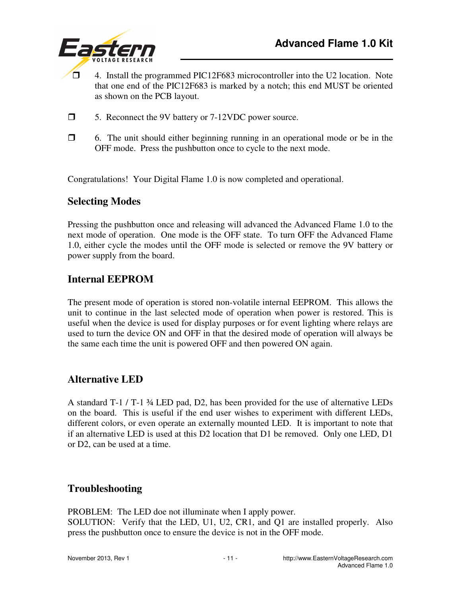

- $\Box$  4. Install the programmed PIC12F683 microcontroller into the U2 location. Note that one end of the PIC12F683 is marked by a notch; this end MUST be oriented as shown on the PCB layout.
- 5. Reconnect the 9V battery or 7-12VDC power source.
- $\Box$  6. The unit should either beginning running in an operational mode or be in the OFF mode. Press the pushbutton once to cycle to the next mode.

Congratulations! Your Digital Flame 1.0 is now completed and operational.

#### **Selecting Modes**

Pressing the pushbutton once and releasing will advanced the Advanced Flame 1.0 to the next mode of operation. One mode is the OFF state. To turn OFF the Advanced Flame 1.0, either cycle the modes until the OFF mode is selected or remove the 9V battery or power supply from the board.

#### **Internal EEPROM**

The present mode of operation is stored non-volatile internal EEPROM. This allows the unit to continue in the last selected mode of operation when power is restored. This is useful when the device is used for display purposes or for event lighting where relays are used to turn the device ON and OFF in that the desired mode of operation will always be the same each time the unit is powered OFF and then powered ON again.

#### **Alternative LED**

A standard T-1 / T-1 ¾ LED pad, D2, has been provided for the use of alternative LEDs on the board. This is useful if the end user wishes to experiment with different LEDs, different colors, or even operate an externally mounted LED. It is important to note that if an alternative LED is used at this D2 location that D1 be removed. Only one LED, D1 or D2, can be used at a time.

#### **Troubleshooting**

PROBLEM: The LED doe not illuminate when I apply power. SOLUTION: Verify that the LED, U1, U2, CR1, and Q1 are installed properly. Also press the pushbutton once to ensure the device is not in the OFF mode.